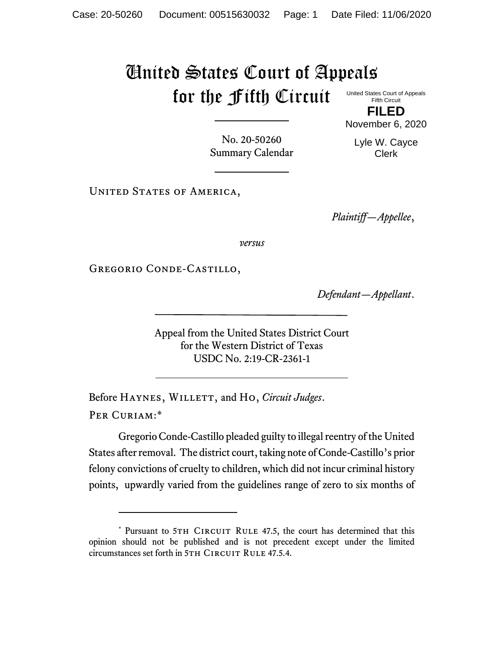## United States Court of Appeals for the Fifth Circuit

United States Court of Appeals Fifth Circuit

**FILED** November 6, 2020

No. 20-50260 Summary Calendar Lyle W. Cayce Clerk

UNITED STATES OF AMERICA,

*Plaintiff—Appellee*,

*versus*

Gregorio Conde-Castillo,

*Defendant—Appellant*.

Appeal from the United States District Court for the Western District of Texas USDC No. 2:19-CR-2361-1

Before HAYNES, WILLETT, and Ho, *Circuit Judges*. Per Curiam:\*

Gregorio Conde-Castillo pleaded guilty to illegal reentry of the United States after removal. The district court, taking note of Conde-Castillo's prior felony convictions of cruelty to children, which did not incur criminal history points, upwardly varied from the guidelines range of zero to six months of

<sup>\*</sup> Pursuant to 5TH CIRCUIT RULE 47.5, the court has determined that this opinion should not be published and is not precedent except under the limited circumstances set forth in 5TH CIRCUIT RULE 47.5.4.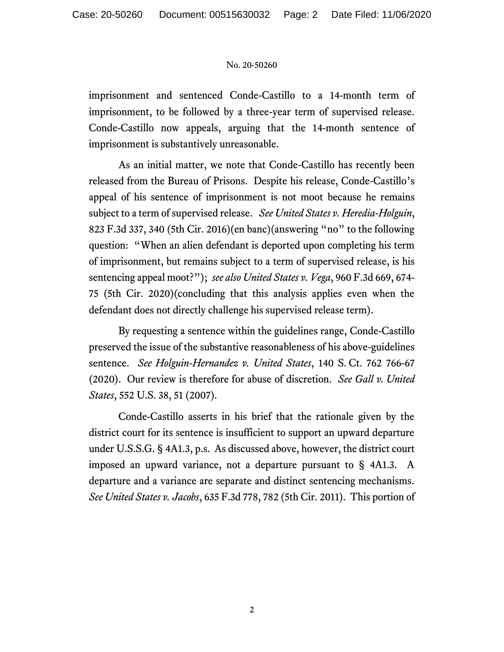## No. 20-50260

imprisonment and sentenced Conde-Castillo to a 14-month term of imprisonment, to be followed by a three-year term of supervised release. Conde-Castillo now appeals, arguing that the 14-month sentence of imprisonment is substantively unreasonable.

As an initial matter, we note that Conde-Castillo has recently been released from the Bureau of Prisons. Despite his release, Conde-Castillo's appeal of his sentence of imprisonment is not moot because he remains subject to a term of supervised release. *See United States v. Heredia-Holguin*, 823 F.3d 337, 340 (5th Cir. 2016)(en banc)(answering "no" to the following question: "When an alien defendant is deported upon completing his term of imprisonment, but remains subject to a term of supervised release, is his sentencing appeal moot?"); *see also United States v. Vega*, 960 F.3d 669, 674- 75 (5th Cir. 2020)(concluding that this analysis applies even when the defendant does not directly challenge his supervised release term).

By requesting a sentence within the guidelines range, Conde-Castillo preserved the issue of the substantive reasonableness of his above-guidelines sentence. *See Holguin-Hernandez v. United States*, 140 S. Ct. 762 766-67 (2020). Our review is therefore for abuse of discretion. *See Gall v. United States*, 552 U.S. 38, 51 (2007).

Conde-Castillo asserts in his brief that the rationale given by the district court for its sentence is insufficient to support an upward departure under U.S.S.G. § 4A1.3, p.s. As discussed above, however, the district court imposed an upward variance, not a departure pursuant to § 4A1.3. A departure and a variance are separate and distinct sentencing mechanisms. *See United States v. Jacobs*, 635 F.3d 778, 782 (5th Cir. 2011). This portion of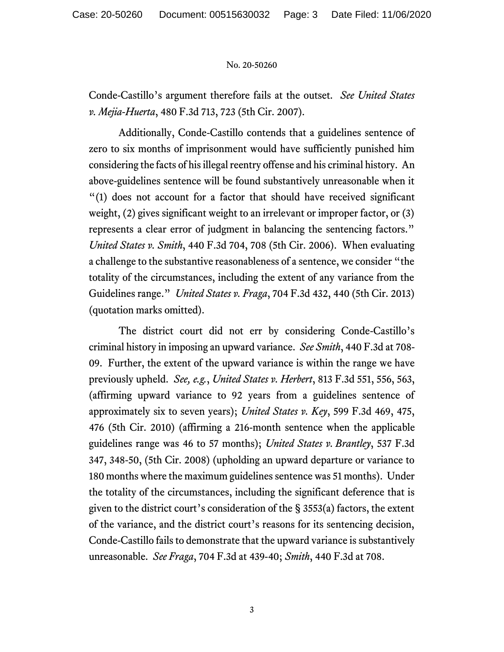## No. 20-50260

Conde-Castillo's argument therefore fails at the outset*. See United States v. Mejia-Huerta*, 480 F.3d 713, 723 (5th Cir. 2007).

Additionally, Conde-Castillo contends that a guidelines sentence of zero to six months of imprisonment would have sufficiently punished him considering the facts of his illegal reentry offense and his criminal history. An above-guidelines sentence will be found substantively unreasonable when it "(1) does not account for a factor that should have received significant weight, (2) gives significant weight to an irrelevant or improper factor, or (3) represents a clear error of judgment in balancing the sentencing factors." *United States v. Smith*, 440 F.3d 704, 708 (5th Cir. 2006). When evaluating a challenge to the substantive reasonableness of a sentence, we consider "the totality of the circumstances, including the extent of any variance from the Guidelines range." *United States v. Fraga*, 704 F.3d 432, 440 (5th Cir. 2013) (quotation marks omitted).

The district court did not err by considering Conde-Castillo's criminal history in imposing an upward variance. *See Smith*, 440 F.3d at 708- 09. Further, the extent of the upward variance is within the range we have previously upheld. *See, e.g.*, *United States v. Herbert*, 813 F.3d 551, 556, 563, (affirming upward variance to 92 years from a guidelines sentence of approximately six to seven years); *United States v. Key*, 599 F.3d 469, 475, 476 (5th Cir. 2010) (affirming a 216-month sentence when the applicable guidelines range was 46 to 57 months); *United States v. Brantley*, 537 F.3d 347, 348-50, (5th Cir. 2008) (upholding an upward departure or variance to 180 months where the maximum guidelines sentence was 51 months). Under the totality of the circumstances, including the significant deference that is given to the district court's consideration of the § 3553(a) factors, the extent of the variance, and the district court's reasons for its sentencing decision, Conde-Castillo fails to demonstrate that the upward variance is substantively unreasonable. *See Fraga*, 704 F.3d at 439-40; *Smith*, 440 F.3d at 708.